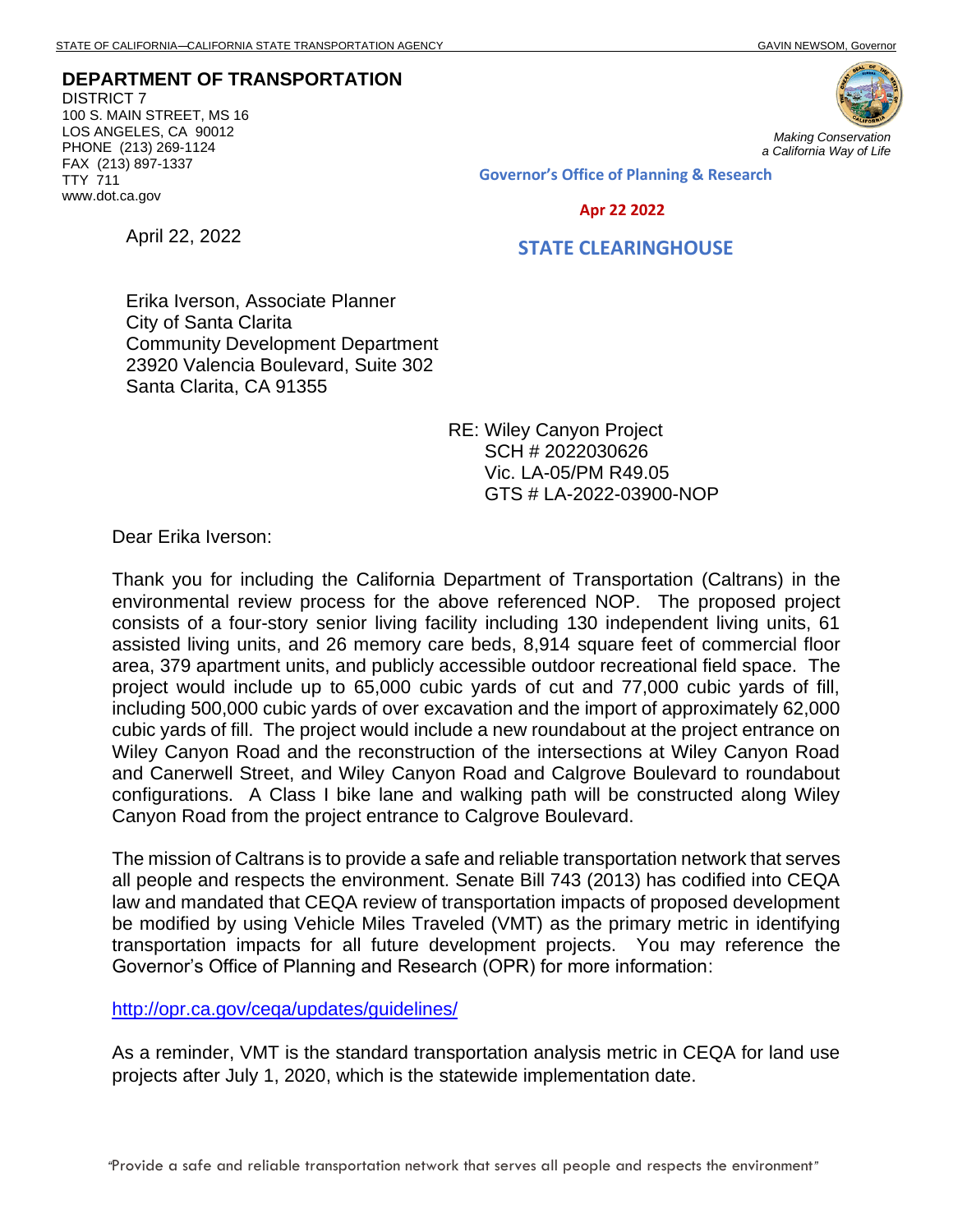**DEPARTMENT OF TRANSPORTATION** DISTRICT 7 100 S. MAIN STREET, MS 16 LOS ANGELES, CA 90012 PHONE (213) 269-1124 FAX (213) 897-1337 TTY 711 www.dot.ca.gov

April 22, 2022



*Making Conservation a California Way of Life*

Governor's Office of Planning & Research

Apr 22 2022

## STATE CLEARINGHOUSE

Erika Iverson, Associate Planner City of Santa Clarita Community Development Department 23920 Valencia Boulevard, Suite 302 Santa Clarita, CA 91355

> RE: Wiley Canyon Project SCH # 2022030626 Vic. LA-05/PM R49.05 GTS # LA-2022-03900-NOP

Dear Erika Iverson:

Thank you for including the California Department of Transportation (Caltrans) in the environmental review process for the above referenced NOP. The proposed project consists of a four-story senior living facility including 130 independent living units, 61 assisted living units, and 26 memory care beds, 8,914 square feet of commercial floor area, 379 apartment units, and publicly accessible outdoor recreational field space. The project would include up to 65,000 cubic yards of cut and 77,000 cubic yards of fill, including 500,000 cubic yards of over excavation and the import of approximately 62,000 cubic yards of fill. The project would include a new roundabout at the project entrance on Wiley Canyon Road and the reconstruction of the intersections at Wiley Canyon Road and Canerwell Street, and Wiley Canyon Road and Calgrove Boulevard to roundabout configurations. A Class I bike lane and walking path will be constructed along Wiley Canyon Road from the project entrance to Calgrove Boulevard.

The mission of Caltrans is to provide a safe and reliable transportation network that serves all people and respects the environment. Senate Bill 743 (2013) has codified into CEQA law and mandated that CEQA review of transportation impacts of proposed development be modified by using Vehicle Miles Traveled (VMT) as the primary metric in identifying transportation impacts for all future development projects. You may reference the Governor's Office of Planning and Research (OPR) for more information:

<http://opr.ca.gov/ceqa/updates/guidelines/>

As a reminder, VMT is the standard transportation analysis metric in CEQA for land use projects after July 1, 2020, which is the statewide implementation date.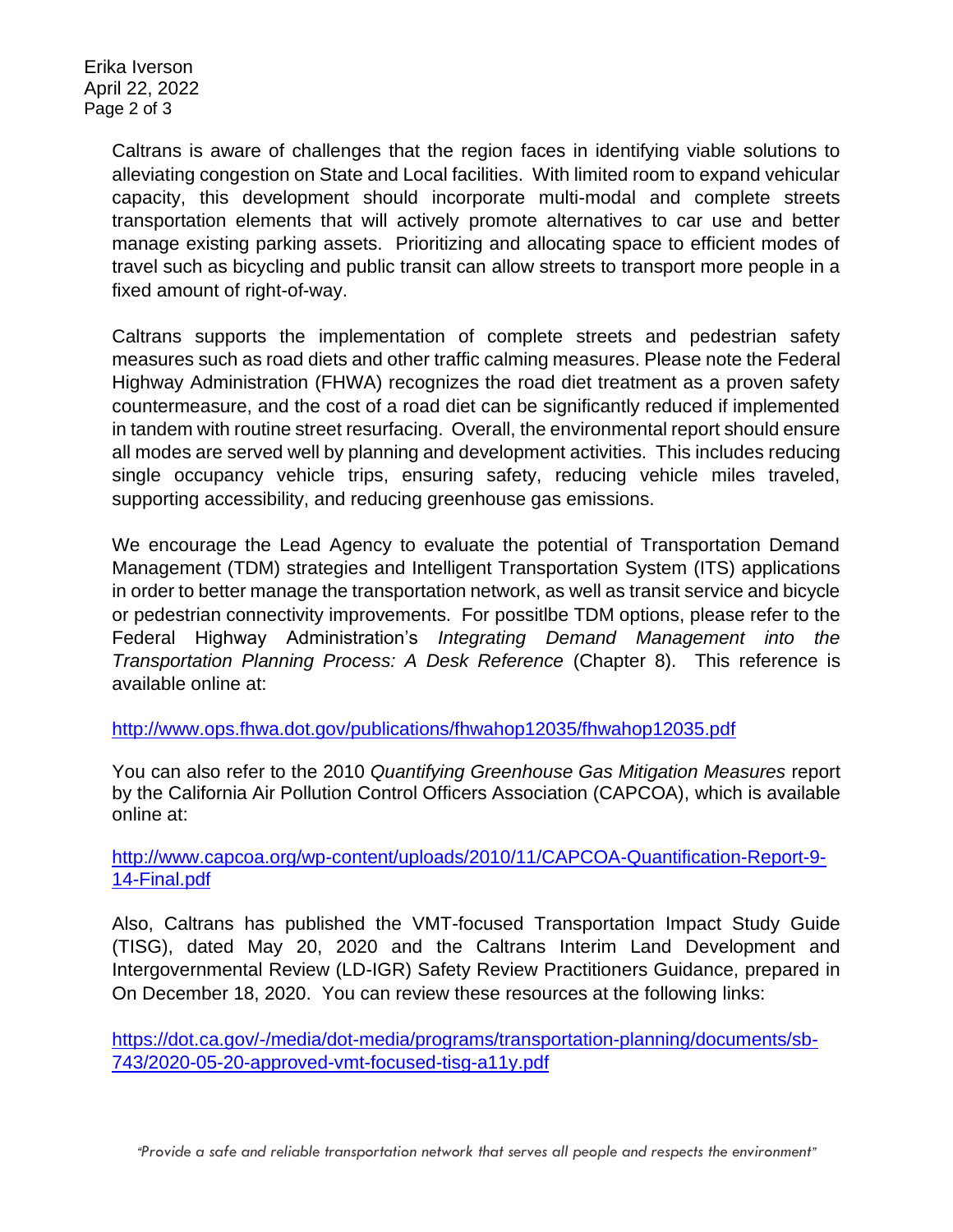Erika Iverson April 22, 2022 Page 2 of 3

> Caltrans is aware of challenges that the region faces in identifying viable solutions to alleviating congestion on State and Local facilities. With limited room to expand vehicular capacity, this development should incorporate multi-modal and complete streets transportation elements that will actively promote alternatives to car use and better manage existing parking assets. Prioritizing and allocating space to efficient modes of travel such as bicycling and public transit can allow streets to transport more people in a fixed amount of right-of-way.

> Caltrans supports the implementation of complete streets and pedestrian safety measures such as road diets and other traffic calming measures. Please note the Federal Highway Administration (FHWA) recognizes the road diet treatment as a proven safety countermeasure, and the cost of a road diet can be significantly reduced if implemented in tandem with routine street resurfacing. Overall, the environmental report should ensure all modes are served well by planning and development activities. This includes reducing single occupancy vehicle trips, ensuring safety, reducing vehicle miles traveled, supporting accessibility, and reducing greenhouse gas emissions.

> We encourage the Lead Agency to evaluate the potential of Transportation Demand Management (TDM) strategies and Intelligent Transportation System (ITS) applications in order to better manage the transportation network, as well as transit service and bicycle or pedestrian connectivity improvements. For possitlbe TDM options, please refer to the Federal Highway Administration's *Integrating Demand Management into the Transportation Planning Process: A Desk Reference* (Chapter 8).This reference is available online at:

<http://www.ops.fhwa.dot.gov/publications/fhwahop12035/fhwahop12035.pdf>

You can also refer to the 2010 *Quantifying Greenhouse Gas Mitigation Measures* report by the California Air Pollution Control Officers Association (CAPCOA), which is available online at:

[http://www.capcoa.org/wp-content/uploads/2010/11/CAPCOA-Quantification-Report-9-](http://www.capcoa.org/wp-content/uploads/2010/11/CAPCOA-Quantification-Report-9-14-Final.pdf) [14-Final.pdf](http://www.capcoa.org/wp-content/uploads/2010/11/CAPCOA-Quantification-Report-9-14-Final.pdf)

Also, Caltrans has published the VMT-focused Transportation Impact Study Guide (TISG), dated May 20, 2020 and the Caltrans Interim Land Development and Intergovernmental Review (LD-IGR) Safety Review Practitioners Guidance, prepared in On December 18, 2020. You can review these resources at the following links:

[https://dot.ca.gov/-/media/dot-media/programs/transportation-planning/documents/sb-](https://dot.ca.gov/-/media/dot-media/programs/transportation-planning/documents/sb-743/2020-05-20-approved-vmt-focused-tisg-a11y.pdf)[743/2020-05-20-approved-vmt-focused-tisg-a11y.pdf](https://dot.ca.gov/-/media/dot-media/programs/transportation-planning/documents/sb-743/2020-05-20-approved-vmt-focused-tisg-a11y.pdf)